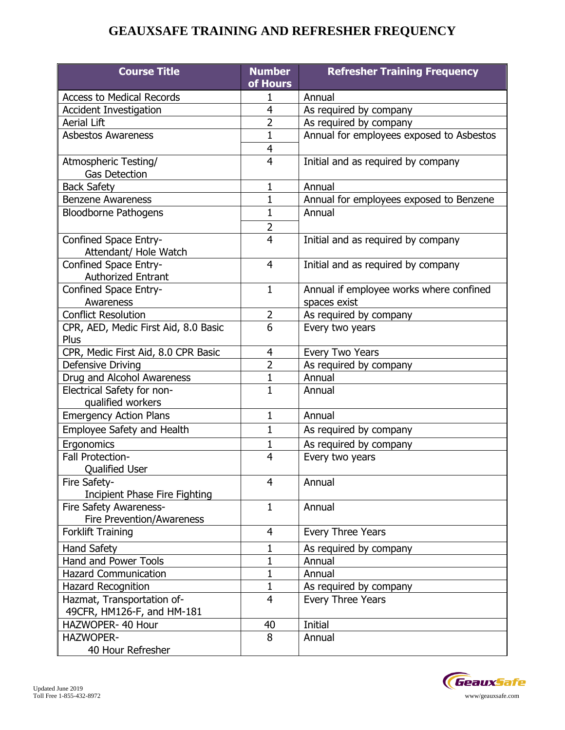## **GEAUXSAFE TRAINING AND REFRESHER FREQUENCY**

| <b>Course Title</b>                  | <b>Number</b><br>of Hours | <b>Refresher Training Frequency</b>      |
|--------------------------------------|---------------------------|------------------------------------------|
| <b>Access to Medical Records</b>     | 1                         | Annual                                   |
| <b>Accident Investigation</b>        | 4                         | As required by company                   |
| <b>Aerial Lift</b>                   | $\overline{2}$            | As required by company                   |
| <b>Asbestos Awareness</b>            | $\mathbf{1}$              | Annual for employees exposed to Asbestos |
|                                      | 4                         |                                          |
| Atmospheric Testing/                 | $\overline{4}$            | Initial and as required by company       |
| <b>Gas Detection</b>                 |                           |                                          |
| <b>Back Safety</b>                   | $\mathbf 1$               | Annual                                   |
| <b>Benzene Awareness</b>             | $\mathbf 1$               | Annual for employees exposed to Benzene  |
| <b>Bloodborne Pathogens</b>          | $\mathbf{1}$              | Annual                                   |
|                                      | $\overline{2}$            |                                          |
| Confined Space Entry-                | $\overline{4}$            | Initial and as required by company       |
| Attendant/ Hole Watch                |                           |                                          |
| Confined Space Entry-                | 4                         | Initial and as required by company       |
| <b>Authorized Entrant</b>            |                           |                                          |
| Confined Space Entry-                | $\mathbf{1}$              | Annual if employee works where confined  |
| Awareness                            |                           | spaces exist                             |
| <b>Conflict Resolution</b>           | $\overline{2}$            | As required by company                   |
| CPR, AED, Medic First Aid, 8.0 Basic | 6                         | Every two years                          |
| Plus                                 |                           |                                          |
| CPR, Medic First Aid, 8.0 CPR Basic  | 4                         | Every Two Years                          |
| Defensive Driving                    | $\overline{2}$            | As required by company                   |
| Drug and Alcohol Awareness           | 1                         | Annual                                   |
| Electrical Safety for non-           | $\mathbf{1}$              | Annual                                   |
| qualified workers                    |                           |                                          |
| <b>Emergency Action Plans</b>        | $\mathbf{1}$              | Annual                                   |
| Employee Safety and Health           | $\mathbf{1}$              | As required by company                   |
| Ergonomics                           | 1                         | As required by company                   |
| Fall Protection-                     | 4                         | Every two years                          |
| <b>Oualified User</b>                |                           |                                          |
| Fire Safety-                         | 4                         | Annual                                   |
| <b>Incipient Phase Fire Fighting</b> |                           |                                          |
| Fire Safety Awareness-               | $\mathbf{1}$              | Annual                                   |
| Fire Prevention/Awareness            |                           |                                          |
| <b>Forklift Training</b>             | 4                         | Every Three Years                        |
| <b>Hand Safety</b>                   | 1                         | As required by company                   |
| Hand and Power Tools                 | 1                         | Annual                                   |
| <b>Hazard Communication</b>          | 1                         | Annual                                   |
| <b>Hazard Recognition</b>            | $\mathbf 1$               | As required by company                   |
| Hazmat, Transportation of-           | 4                         | Every Three Years                        |
| 49CFR, HM126-F, and HM-181           |                           |                                          |
| HAZWOPER- 40 Hour                    | 40                        | Initial                                  |
| <b>HAZWOPER-</b>                     | 8                         | Annual                                   |
| 40 Hour Refresher                    |                           |                                          |